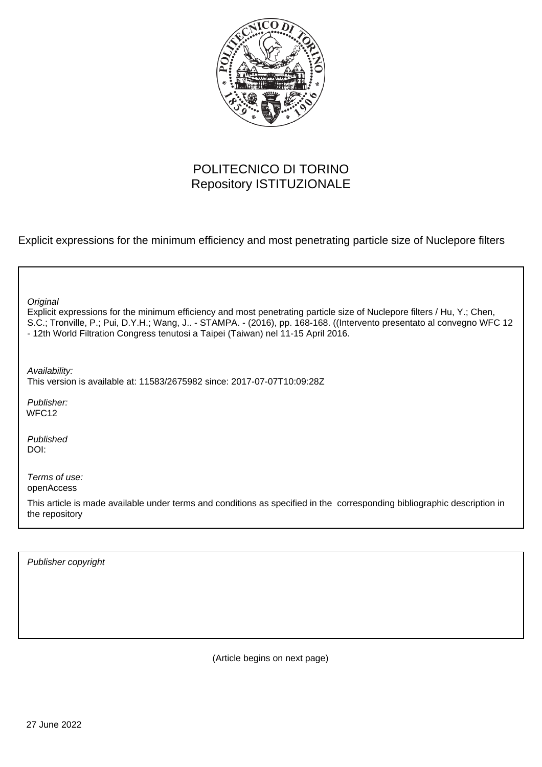

## POLITECNICO DI TORINO Repository ISTITUZIONALE

Explicit expressions for the minimum efficiency and most penetrating particle size of Nuclepore filters

| Original<br>Explicit expressions for the minimum efficiency and most penetrating particle size of Nuclepore filters / Hu, Y.; Chen,<br>S.C.; Tronville, P.; Pui, D.Y.H.; Wang, J - STAMPA. - (2016), pp. 168-168. ((Intervento presentato al convegno WFC 12<br>- 12th World Filtration Congress tenutosi a Taipei (Taiwan) nel 11-15 April 2016. |
|---------------------------------------------------------------------------------------------------------------------------------------------------------------------------------------------------------------------------------------------------------------------------------------------------------------------------------------------------|
| Availability:<br>This version is available at: 11583/2675982 since: 2017-07-07T10:09:28Z                                                                                                                                                                                                                                                          |
| Publisher:<br>WFC <sub>12</sub>                                                                                                                                                                                                                                                                                                                   |
| Published<br>DOI:                                                                                                                                                                                                                                                                                                                                 |
| Terms of use:<br>openAccess                                                                                                                                                                                                                                                                                                                       |
| This article is made available under terms and conditions as specified in the corresponding bibliographic description in<br>the repository                                                                                                                                                                                                        |
|                                                                                                                                                                                                                                                                                                                                                   |

Publisher copyright

(Article begins on next page)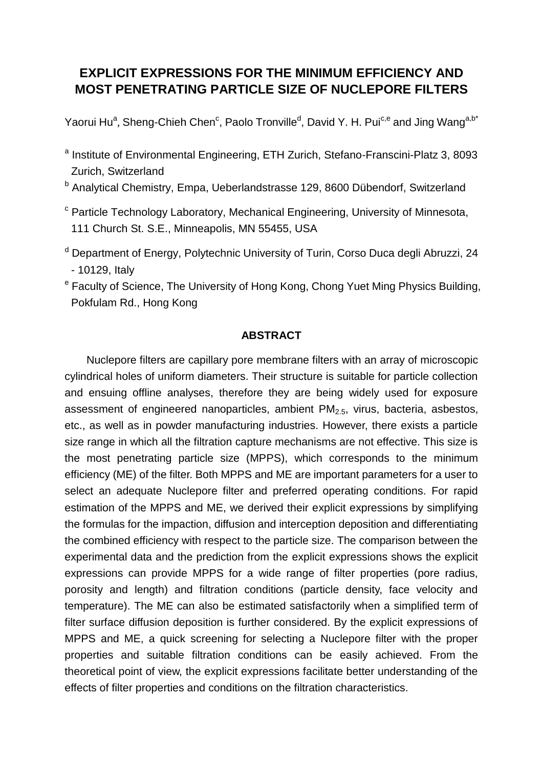## **EXPLICIT EXPRESSIONS FOR THE MINIMUM EFFICIENCY AND MOST PENETRATING PARTICLE SIZE OF NUCLEPORE FILTERS**

Yaorui Hu<sup>a</sup>, Sheng-Chieh Chen<sup>c</sup>, Paolo Tronville<sup>d</sup>, David Y. H. Pui<sup>c,e</sup> and Jing Wang<sup>a,b\*</sup>

- <sup>a</sup> Institute of Environmental Engineering, ETH Zurich, Stefano-Franscini-Platz 3, 8093 Zurich, Switzerland
- <sup>b</sup> Analytical Chemistry, Empa, Ueberlandstrasse 129, 8600 Dübendorf, Switzerland
- <sup>c</sup> Particle Technology Laboratory, Mechanical Engineering, University of Minnesota, 111 Church St. S.E., Minneapolis, MN 55455, USA
- <sup>d</sup> Department of Energy, Polytechnic University of Turin, Corso Duca degli Abruzzi, 24 - 10129, Italy
- <sup>e</sup> Faculty of Science, The University of Hong Kong, Chong Yuet Ming Physics Building, Pokfulam Rd., Hong Kong

## **ABSTRACT**

Nuclepore filters are capillary pore membrane filters with an array of microscopic cylindrical holes of uniform diameters. Their structure is suitable for particle collection and ensuing offline analyses, therefore they are being widely used for exposure assessment of engineered nanoparticles, ambient  $PM<sub>2.5</sub>$ , virus, bacteria, asbestos, etc., as well as in powder manufacturing industries. However, there exists a particle size range in which all the filtration capture mechanisms are not effective. This size is the most penetrating particle size (MPPS), which corresponds to the minimum efficiency (ME) of the filter. Both MPPS and ME are important parameters for a user to select an adequate Nuclepore filter and preferred operating conditions. For rapid estimation of the MPPS and ME, we derived their explicit expressions by simplifying the formulas for the impaction, diffusion and interception deposition and differentiating the combined efficiency with respect to the particle size. The comparison between the experimental data and the prediction from the explicit expressions shows the explicit expressions can provide MPPS for a wide range of filter properties (pore radius, porosity and length) and filtration conditions (particle density, face velocity and temperature). The ME can also be estimated satisfactorily when a simplified term of filter surface diffusion deposition is further considered. By the explicit expressions of MPPS and ME, a quick screening for selecting a Nuclepore filter with the proper properties and suitable filtration conditions can be easily achieved. From the theoretical point of view, the explicit expressions facilitate better understanding of the effects of filter properties and conditions on the filtration characteristics.